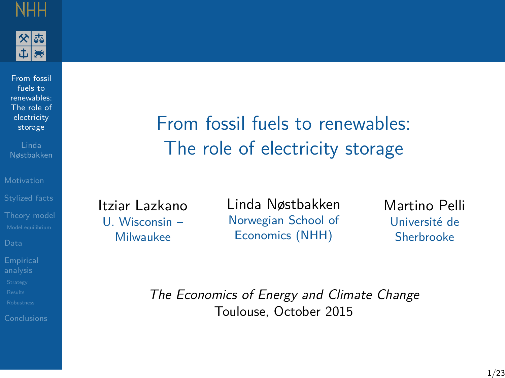<span id="page-0-0"></span>



From fossil fuels to [renewables:](#page-25-0) The role of electricity storage

[Stylized facts](#page-5-0)

From fossil fuels to renewables: The role of electricity storage

Itziar Lazkano U. Wisconsin – Milwaukee

Linda Nøstbakken Norwegian School of Economics (NHH)

Martino Pelli Université de Sherbrooke

The Economics of Energy and Climate Change Toulouse, October 2015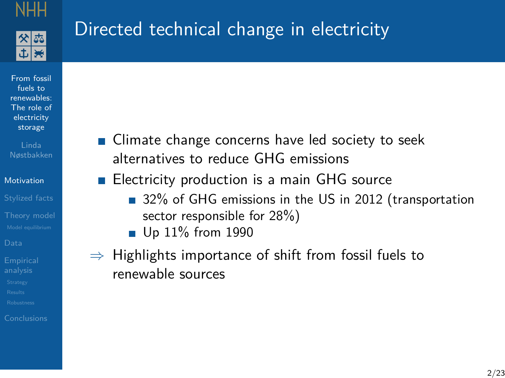

# <span id="page-1-0"></span>Directed technical change in electricity

From fossil fuels to [renewables:](#page-0-0) The role of electricity storage

Nøstbakken

[Motivation](#page-1-0)

[Stylized facts](#page-5-0)

■ Climate change concerns have led society to seek alternatives to reduce GHG emissions

Electricity production is a main GHG source  $\overline{\phantom{a}}$ 

- 32% of GHG emissions in the US in 2012 (transportation sector responsible for 28%)
- **Up 11% from 1990**
- $\Rightarrow$  Highlights importance of shift from fossil fuels to renewable sources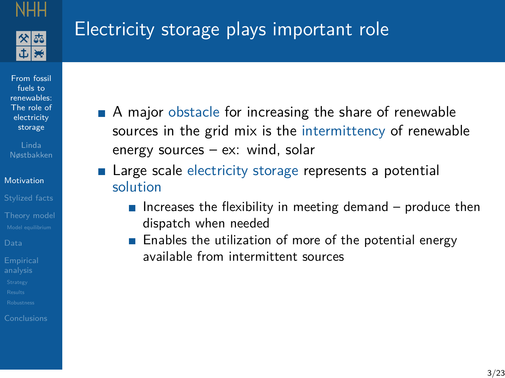

# Electricity storage plays important role

From fossil fuels to [renewables:](#page-0-0) The role of electricity storage

Nøstbakken

[Motivation](#page-1-0)

[Stylized facts](#page-5-0)

- A major obstacle for increasing the share of renewable sources in the grid mix is the intermittency of renewable energy sources – ex: wind, solar
- **Large scale electricity storage represents a potential** solution
	- Increases the flexibility in meeting demand  $-$  produce then dispatch when needed
	- **Enables the utilization of more of the potential energy** available from intermittent sources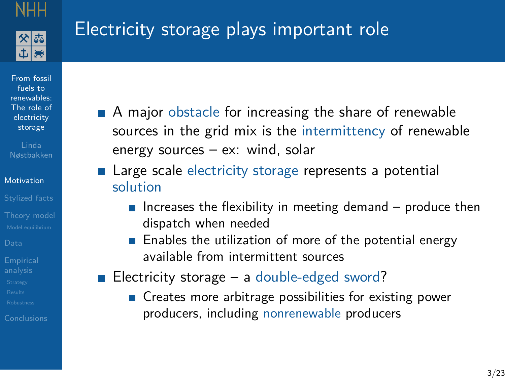

# Electricity storage plays important role

From fossil fuels to [renewables:](#page-0-0) The role of electricity storage

#### [Motivation](#page-1-0)

[Stylized facts](#page-5-0)

- A major obstacle for increasing the share of renewable sources in the grid mix is the intermittency of renewable energy sources – ex: wind, solar
- **Large scale electricity storage represents a potential** solution
	- Increases the flexibility in meeting demand  $-$  produce then dispatch when needed
	- **Enables the utilization of more of the potential energy** available from intermittent sources
- Electricity storage a double-edged sword?
	- **Creates more arbitrage possibilities for existing power** producers, including nonrenewable producers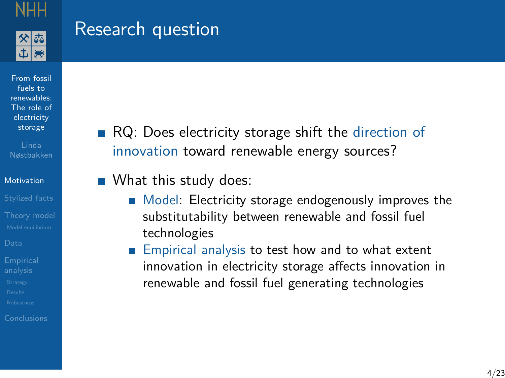

## Research question

From fossil fuels to [renewables:](#page-0-0) The role of electricity storage

Nøstbakken

[Motivation](#page-1-0)

[Stylized facts](#page-5-0)

RQ: Does electricity storage shift the direction of innovation toward renewable energy sources?

**No. 20 What this study does:** 

- Model: Electricity storage endogenously improves the substitutability between renewable and fossil fuel technologies
- **Empirical analysis to test how and to what extent** innovation in electricity storage affects innovation in renewable and fossil fuel generating technologies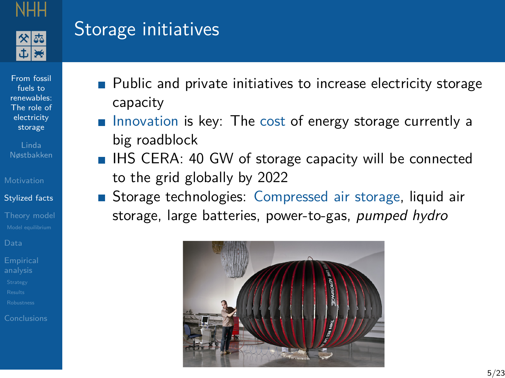

## <span id="page-5-0"></span>Storage initiatives

From fossil fuels to [renewables:](#page-0-0) The role of electricity storage

Nøstbakken

[Stylized facts](#page-5-0)

- **Public and private initiatives to increase electricity storage** capacity
- Innovation is key: The cost of energy storage currently a big roadblock
- $\blacksquare$  IHS CERA: 40 GW of storage capacity will be connected to the grid globally by 2022
- Storage technologies: Compressed air storage, liquid air storage, large batteries, power-to-gas, pumped hydro

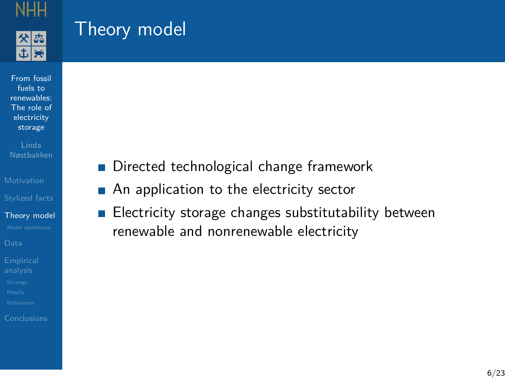

 $|\mathbf{H}|$ 

## <span id="page-6-0"></span>Theory model

From fossil fuels to [renewables:](#page-0-0) The role of electricity storage

Linda Nøstbakken

[Stylized facts](#page-5-0)

[Theory model](#page-6-0)

- Directed technological change framework  $\mathcal{L}_{\mathcal{A}}$
- An application to the electricity sector  $\mathcal{L}_{\mathcal{A}}$
- Electricity storage changes substitutability between  $\overline{\phantom{a}}$ renewable and nonrenewable electricity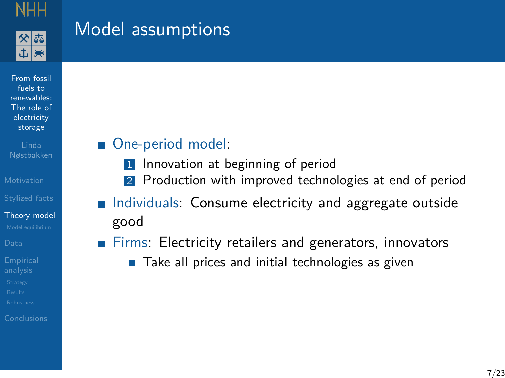

 $|\mathbf{H}|$ 

## Model assumptions

From fossil fuels to [renewables:](#page-0-0) The role of electricity storage

Linda Nøstbakken

[Stylized facts](#page-5-0)

[Theory model](#page-6-0)

### One-period model:

- 1 Innovation at beginning of period
- 2 Production with improved technologies at end of period
- Individuals: Consume electricity and aggregate outside good
- Firms: Electricity retailers and generators, innovators **The Co** 
	- **Take all prices and initial technologies as given**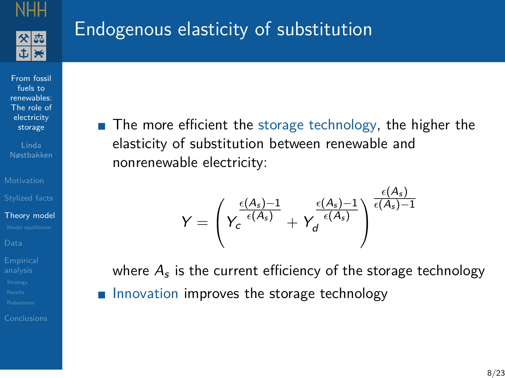

# Endogenous elasticity of substitution

From fossil fuels to [renewables:](#page-0-0) The role of electricity storage

Nøstbakken

[Stylized facts](#page-5-0)

[Theory model](#page-6-0)

 $\blacksquare$  The more efficient the storage technology, the higher the elasticity of substitution between renewable and nonrenewable electricity:

$$
Y = \left(Y_c \frac{\frac{\epsilon(A_s)-1}{\epsilon(A_s)}}{+Y_d} + Y_d \frac{\frac{\epsilon(A_s)-1}{\epsilon(A_s)}\right)^{\frac{\epsilon(A_s)}{\epsilon(A_s)-1}}
$$

where  $A_{\mathfrak s}$  is the current efficiency of the storage technology Innovation improves the storage technology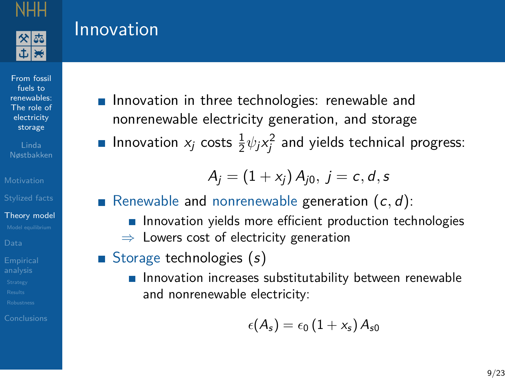

## Innovation

From fossil fuels to [renewables:](#page-0-0) The role of electricity storage

Nøstbakken

[Stylized facts](#page-5-0)

[Theory model](#page-6-0)

- **Innovation in three technologies: renewable and** nonrenewable electricity generation, and storage
- Innovation  $x_j$  costs  $\frac{1}{2}\psi_j x_j^2$  and yields technical progress:

$$
A_j = (1 + x_j) A_{j0}, j = c, d, s
$$

- Renewable and nonrenewable generation  $(c, d)$ :
	- **Innovation yields more efficient production technologies**  $\Rightarrow$  Lowers cost of electricity generation
- Storage technologies  $(s)$ 
	- **Innovation increases substitutability between renewable** and nonrenewable electricity:

$$
\epsilon(A_s)=\epsilon_0\left(1+x_s\right)A_{s0}
$$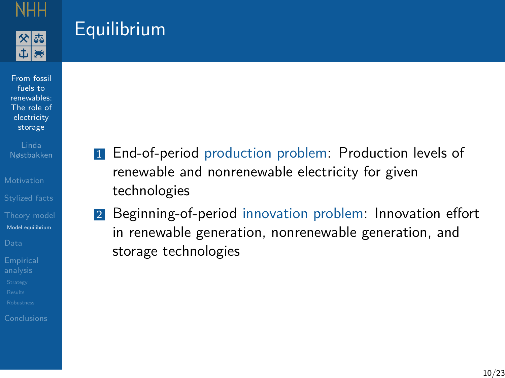

## <span id="page-10-0"></span>**Equilibrium**

From fossil fuels to [renewables:](#page-0-0) The role of electricity storage

Linda Nøstbakken

[Stylized facts](#page-5-0)

[Model equilibrium](#page-10-0)

- **1** End-of-period production problem: Production levels of renewable and nonrenewable electricity for given technologies
- 2 Beginning-of-period innovation problem: Innovation effort in renewable generation, nonrenewable generation, and storage technologies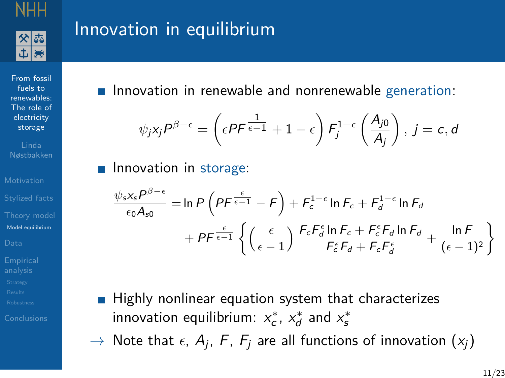

## Innovation in equilibrium

From fossil fuels to [renewables:](#page-0-0) The role of electricity storage

Linda Nøstbakken

[Stylized facts](#page-5-0)

[Model equilibrium](#page-10-0)

**Innovation in renewable and nonrenewable generation:** 

$$
\psi_j x_j P^{\beta-\epsilon} = \left(\epsilon P F^{\frac{1}{\epsilon-1}} + 1 - \epsilon\right) F_j^{1-\epsilon}\left(\frac{A_{j0}}{A_j}\right), j = c, d
$$

### **Innovation in storage:**

$$
\frac{\psi_s x_s P^{\beta-\epsilon}}{\epsilon_0 A_{s0}} = \ln P \left( P F^{\frac{\epsilon}{\epsilon-1}} - F \right) + F_c^{1-\epsilon} \ln F_c + F_d^{1-\epsilon} \ln F_d
$$

$$
+ P F^{\frac{\epsilon}{\epsilon-1}} \left\{ \left( \frac{\epsilon}{\epsilon-1} \right) \frac{F_c F_d^{\epsilon} \ln F_c + F_c^{\epsilon} F_d \ln F_d}{F_c^{\epsilon} F_d + F_c F_d^{\epsilon}} + \frac{\ln F}{(\epsilon-1)^2} \right\}
$$

- $\blacksquare$  Highly nonlinear equation system that characterizes innovation equilibrium:  $x_c^*$ ,  $x_d^*$  and  $x_s^*$
- $\rightarrow$  Note that  $\epsilon$ ,  $A_j$ ,  $F$ ,  $F_j$  are all functions of innovation  $(x_j)$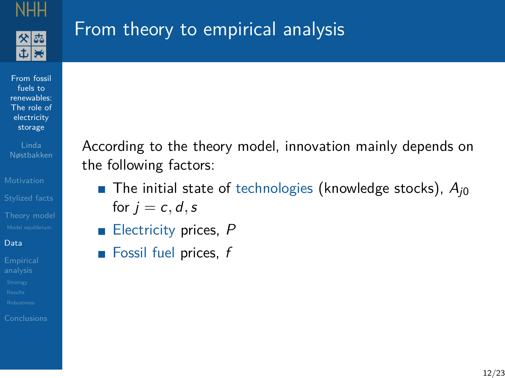

# <span id="page-12-0"></span>From theory to empirical analysis

From fossil fuels to [renewables:](#page-0-0) The role of electricity storage

Linda Nøstbakken

[Stylized facts](#page-5-0)

#### [Data](#page-12-0)

According to the theory model, innovation mainly depends on the following factors:

- **The initial state of technologies (knowledge stocks),**  $A_{i0}$ for  $i = c, d, s$
- Electricity prices, P  $\overline{\phantom{a}}$
- **Fossil fuel prices,**  $f$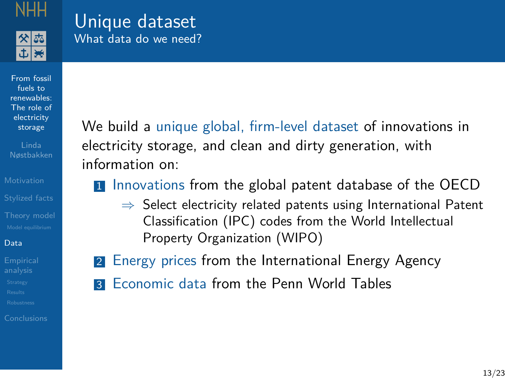

### Unique dataset What data do we need?

From fossil fuels to [renewables:](#page-0-0) The role of electricity storage

[Stylized facts](#page-5-0)

#### [Data](#page-12-0)

We build a unique global, firm-level dataset of innovations in electricity storage, and clean and dirty generation, with information on:

**1** Innovations from the global patent database of the OECD

- $\Rightarrow$  Select electricity related patents using International Patent Classification (IPC) codes from the World Intellectual Property Organization (WIPO)
- 2 Energy prices from the International Energy Agency
- **3** Economic data from the Penn World Tables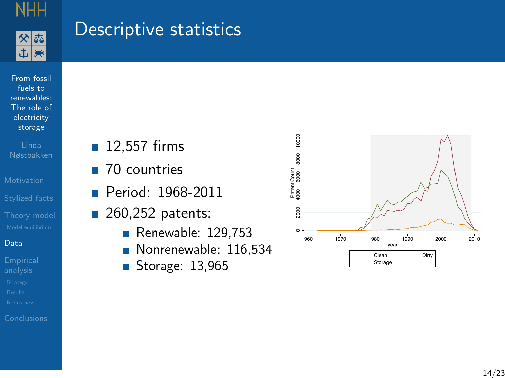

 $\frac{1}{2}$ 

### Descriptive statistics

From fossil fuels to [renewables:](#page-0-0) The role of electricity storage

Linda Nøstbakken

[Stylized facts](#page-5-0)

#### [Data](#page-12-0)

- 12,557 firms
- 70 countries
- Period: 1968-2011
- $\blacksquare$  260,252 patents:
	- Renewable:  $129,753$
	- Nonrenewable: 116,534 Ħ
	- Storage: 13,965  $\Box$

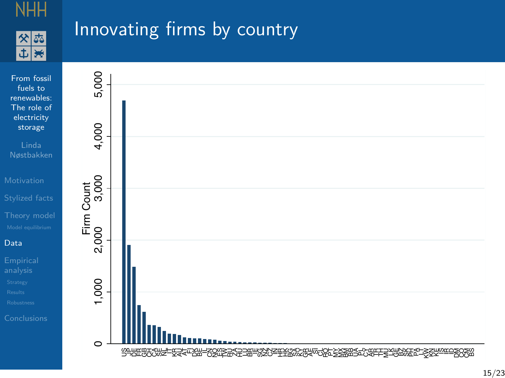

## Innovating firms by country

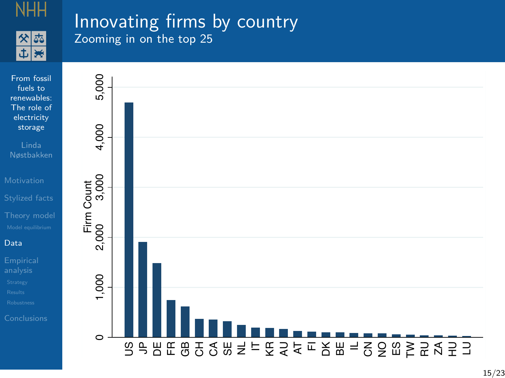

### Innovating firms by country Zooming in on the top 25

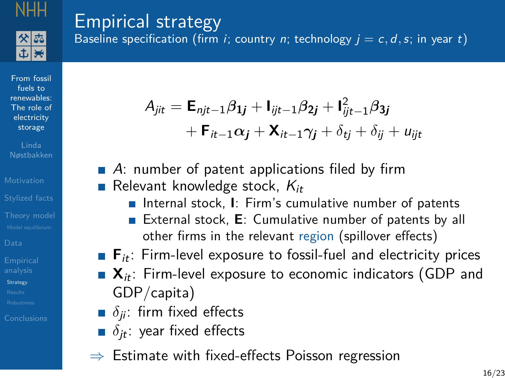

From fossil fuels to [renewables:](#page-0-0) The role of electricity storage Linda Nøstbakken

[Stylized facts](#page-5-0)

**[Strategy](#page-17-0)** 

## <span id="page-17-0"></span>Empirical strategy

Baseline specification (firm *i*; country *n*; technology  $j = c, d, s$ ; in year t)

$$
A_{jit} = \mathbf{E}_{njt-1} \beta_{1j} + \mathbf{I}_{ijt-1} \beta_{2j} + \mathbf{I}_{ijt-1}^2 \beta_{3j} + \mathbf{F}_{it-1} \alpha_j + \mathbf{X}_{it-1} \gamma_j + \delta_{tj} + \delta_{ij} + u_{ijt}
$$

- $\blacksquare$  A: number of patent applications filed by firm Relevant knowledge stock,  $K_{it}$ 
	- Internal stock, **I**: Firm's cumulative number of patents
	- External stock, **E**: Cumulative number of patents by all other firms in the relevant region (spillover effects)
- **F**<sub>it</sub>: Firm-level exposure to fossil-fuel and electricity prices
- $\bullet$   $\mathbf{X}_{it}$ : Firm-level exposure to economic indicators (GDP and GDP/capita)
- $\bullet$   $\delta$ <sub>ii</sub>: firm fixed effects
- $\delta$ <sub>it</sub>: year fixed effects
- $\Rightarrow$  Estimate with fixed-effects Poisson regression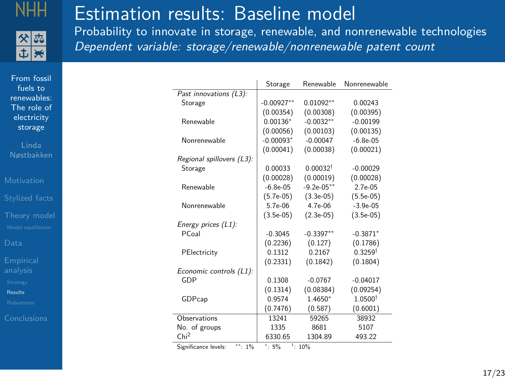

中医

# <span id="page-18-0"></span>Estimation results: Baseline model

Probability to innovate in storage, renewable, and nonrenewable technologies Dependent variable: storage/renewable/nonrenewable patent count

From fossil fuels to [renewables:](#page-0-0) The role of electricity storage

Linda Nøstbakken

[Stylized facts](#page-5-0)

[Results](#page-18-0)

|                                            | Storage        | Renewable            | Nonrenewable       |
|--------------------------------------------|----------------|----------------------|--------------------|
| Past innovations (L3):                     |                |                      |                    |
| Storage                                    | $-0.00927**$   | $0.01092**$          | 0.00243            |
|                                            | (0.00354)      | (0.00308)            | (0.00395)          |
| Renewable                                  | $0.00136*$     | $-0.0032**$          | $-0.00199$         |
|                                            | (0.00056)      | (0.00103)            | (0.00135)          |
| Nonrenewable                               | $-0.00093*$    | $-0.00047$           | $-6.8e-0.5$        |
|                                            | (0.00041)      | (0.00038)            | (0.00021)          |
| Regional spillovers (L3):                  |                |                      |                    |
| Storage                                    | 0.00033        | 0.00032 <sup>†</sup> | $-0.00029$         |
|                                            | (0.00028)      | (0.00019)            | (0.00028)          |
| Renewable                                  | $-6.8e-05$     | $-9.2e-05**$         | $2.7e-0.5$         |
|                                            | $(5.7e-05)$    | $(3.3e-05)$          | $(5.5e-05)$        |
| Nonrenewable                               | $5.7e-06$      | $4.7e-06$            | $-3.9e-05$         |
|                                            | $(3.5e-05)$    | $(2.3e-05)$          | $(3.5e-05)$        |
| Energy prices (L1):                        |                |                      |                    |
| PCoal                                      | $-0.3045$      | $-0.3397**$          | $-0.3871*$         |
|                                            | (0.2236)       | (0.127)              | (0.1786)           |
| PElectricity                               | 0.1312         | 0.2167               | $0.3259^{\dagger}$ |
|                                            | (0.2331)       | (0.1842)             | (0.1804)           |
| Economic controls (L1):                    |                |                      |                    |
| GDP                                        | 0.1308         | $-0.0767$            | $-0.04017$         |
|                                            | (0.1314)       | (0.08384)            | (0.09254)          |
| GDPcap                                     | 0.9574         | 1.4650*              | 1.0500             |
|                                            | (0.7476)       | (0.587)              | (0.6001)           |
| Observations                               | 13241          | 59265                | 38932              |
| No. of groups                              | 1335           | 8681                 | 5107               |
| Chi <sup>2</sup>                           | 6330.65        | 1304.89              | 493.22             |
| $\mathbf{a} = \mathbf{a} \cdot \mathbf{a}$ | $+$<br>$-$ 0.4 | $- - -$              |                    |

Significance levels: \*\*: 1%  $\frac{1}{15\%}$   $\frac{1}{1}$ : 10%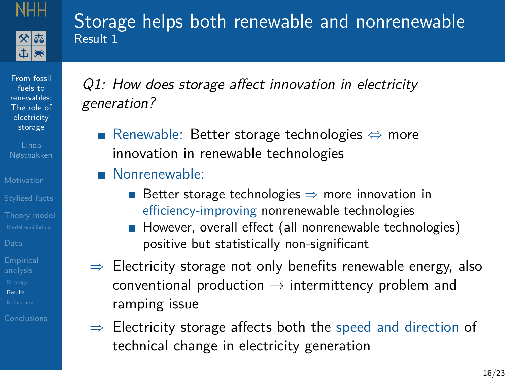

### Storage helps both renewable and nonrenewable Result 1

From fossil fuels to [renewables:](#page-0-0) The role of electricity storage

[Stylized facts](#page-5-0)

[Results](#page-18-0)

Q1: How does storage affect innovation in electricity generation?

- Renewable: Better storage technologies ⇔ more innovation in renewable technologies
- **Nonrenewable:** 
	- Better storage technologies  $\Rightarrow$  more innovation in efficiency-improving nonrenewable technologies
	- However, overall effect (all nonrenewable technologies) positive but statistically non-significant
- $\Rightarrow$  Electricity storage not only benefits renewable energy, also conventional production  $\rightarrow$  intermittency problem and ramping issue
- $\Rightarrow$  Electricity storage affects both the speed and direction of technical change in electricity generation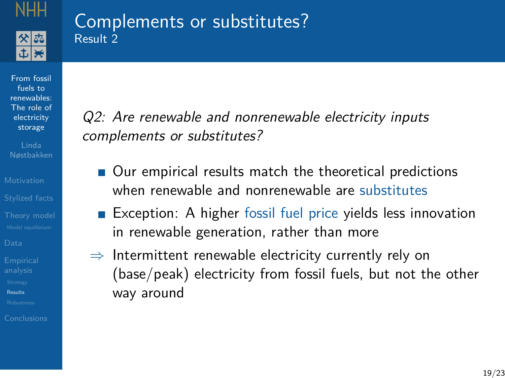

### Complements or substitutes? Result 2

From fossil fuels to [renewables:](#page-0-0) The role of electricity storage

[Stylized facts](#page-5-0)

[Results](#page-18-0)

Q2: Are renewable and nonrenewable electricity inputs complements or substitutes?

- Our empirical results match the theoretical predictions when renewable and nonrenewable are substitutes
- Exception: A higher fossil fuel price yields less innovation in renewable generation, rather than more
- $\Rightarrow$  Intermittent renewable electricity currently rely on (base/peak) electricity from fossil fuels, but not the other way around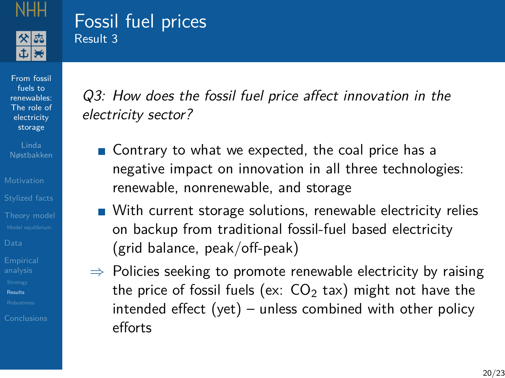

### Fossil fuel prices Result 3

From fossil fuels to [renewables:](#page-0-0) The role of electricity storage

[Stylized facts](#page-5-0)

[Results](#page-18-0)

Q3: How does the fossil fuel price affect innovation in the electricity sector?

- Contrary to what we expected, the coal price has a negative impact on innovation in all three technologies: renewable, nonrenewable, and storage
- With current storage solutions, renewable electricity relies on backup from traditional fossil-fuel based electricity (grid balance, peak/off-peak)
- $\Rightarrow$  Policies seeking to promote renewable electricity by raising the price of fossil fuels (ex:  $CO<sub>2</sub>$  tax) might not have the intended effect (yet) – unless combined with other policy efforts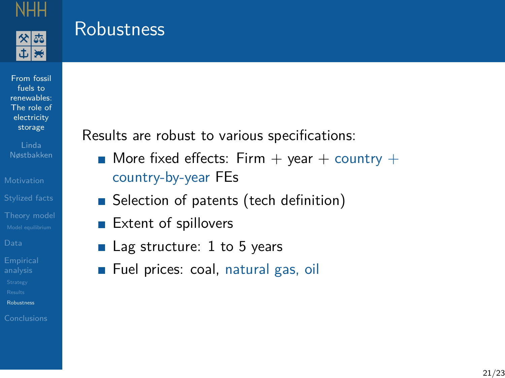

### <span id="page-22-0"></span>**Robustness**

From fossil fuels to [renewables:](#page-0-0) The role of electricity storage

Linda Nøstbakken

[Stylized facts](#page-5-0)

[Robustness](#page-22-0)

Results are robust to various specifications:

- $\blacksquare$  More fixed effects: Firm  $+$  year  $+$  country  $+$ country-by-year FEs
- Selection of patents (tech definition)
- Extent of spillovers
- Lag structure: 1 to 5 years
- Fuel prices: coal, natural gas, oil  $\overline{\phantom{a}}$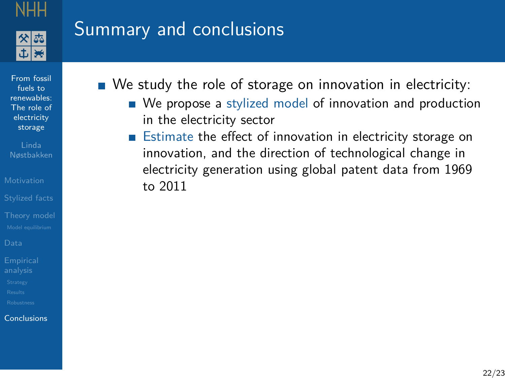

## <span id="page-23-0"></span>Summary and conclusions

From fossil fuels to [renewables:](#page-0-0) The role of electricity storage

Nøstbakken

[Stylized facts](#page-5-0)

[Conclusions](#page-23-0)

■ We study the role of storage on innovation in electricity:

- We propose a stylized model of innovation and production in the electricity sector
- **E**stimate the effect of innovation in electricity storage on innovation, and the direction of technological change in electricity generation using global patent data from 1969 to 2011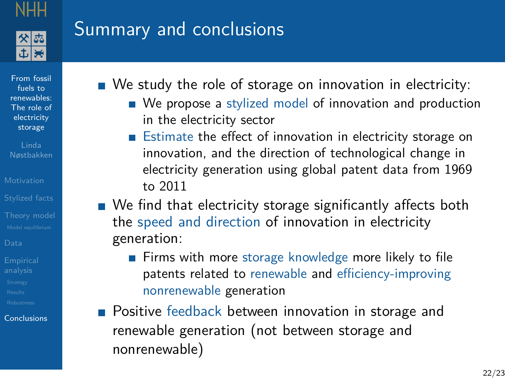

## Summary and conclusions

From fossil fuels to [renewables:](#page-0-0) The role of electricity storage

[Stylized facts](#page-5-0)

[Conclusions](#page-23-0)

■ We study the role of storage on innovation in electricity:

- We propose a stylized model of innovation and production in the electricity sector
- Estimate the effect of innovation in electricity storage on innovation, and the direction of technological change in electricity generation using global patent data from 1969 to 2011
- We find that electricity storage significantly affects both the speed and direction of innovation in electricity generation:
	- **Firms with more storage knowledge more likely to file** patents related to renewable and efficiency-improving nonrenewable generation
- **Positive feedback between innovation in storage and** renewable generation (not between storage and nonrenewable)